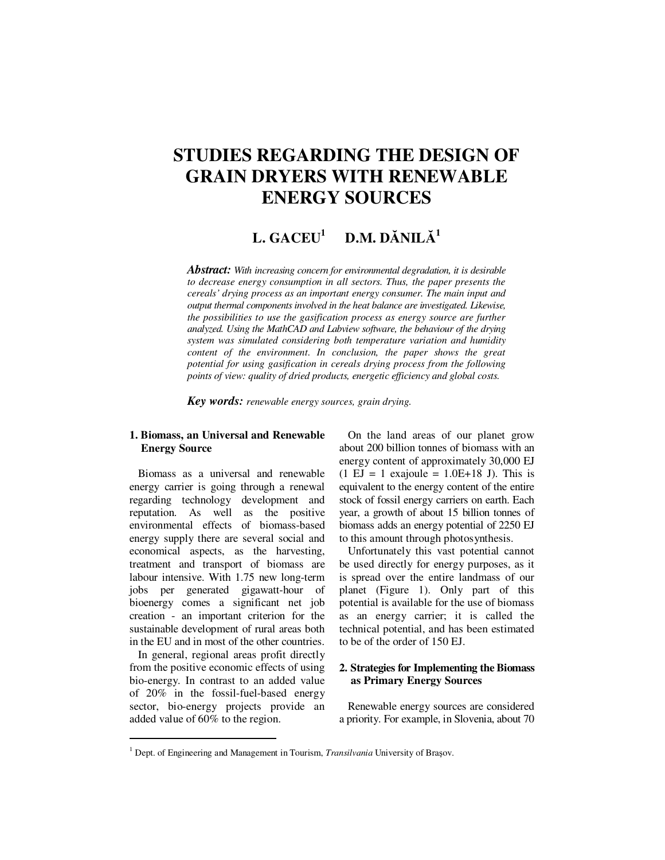# **STUDIES REGARDING THE DESIGN OF GRAIN DRYERS WITH RENEWABLE ENERGY SOURCES**

#### $L. GACEU<sup>1</sup>$  **D.M. D**Ă**NIL**Ă **1**

*Abstract: With increasing concern for environmental degradation, it is desirable to decrease energy consumption in all sectors. Thus, the paper presents the cereals' drying process as an important energy consumer. The main input and output thermal components involved in the heat balance are investigated. Likewise, the possibilities to use the gasification process as energy source are further analyzed. Using the MathCAD and Labview software, the behaviour of the drying system was simulated considering both temperature variation and humidity content of the environment. In conclusion, the paper shows the great potential for using gasification in cereals drying process from the following points of view: quality of dried products, energetic efficiency and global costs.* 

*Key words: renewable energy sources, grain drying.*

## **1. Biomass, an Universal and Renewable Energy Source**

Biomass as a universal and renewable energy carrier is going through a renewal regarding technology development and reputation. As well as the positive environmental effects of biomass-based energy supply there are several social and economical aspects, as the harvesting, treatment and transport of biomass are labour intensive. With 1.75 new long-term jobs per generated gigawatt-hour of bioenergy comes a significant net job creation - an important criterion for the sustainable development of rural areas both in the EU and in most of the other countries.

In general, regional areas profit directly from the positive economic effects of using bio-energy. In contrast to an added value of 20% in the fossil-fuel-based energy sector, bio-energy projects provide an added value of 60% to the region.

 $\ddot{ }$ 

On the land areas of our planet grow about 200 billion tonnes of biomass with an energy content of approximately 30,000 EJ  $(1 \text{ EJ} = 1 \text{ exajoule} = 1.0E+18 \text{ J})$ . This is equivalent to the energy content of the entire stock of fossil energy carriers on earth. Each year, a growth of about 15 billion tonnes of biomass adds an energy potential of 2250 EJ to this amount through photosynthesis.

Unfortunately this vast potential cannot be used directly for energy purposes, as it is spread over the entire landmass of our planet (Figure 1). Only part of this potential is available for the use of biomass as an energy carrier; it is called the technical potential, and has been estimated to be of the order of 150 EJ.

### **2. Strategies for Implementing the Biomass as Primary Energy Sources**

Renewable energy sources are considered a priority. For example, in Slovenia, about 70

<sup>&</sup>lt;sup>1</sup> Dept. of Engineering and Management in Tourism, *Transilvania* University of Brașov.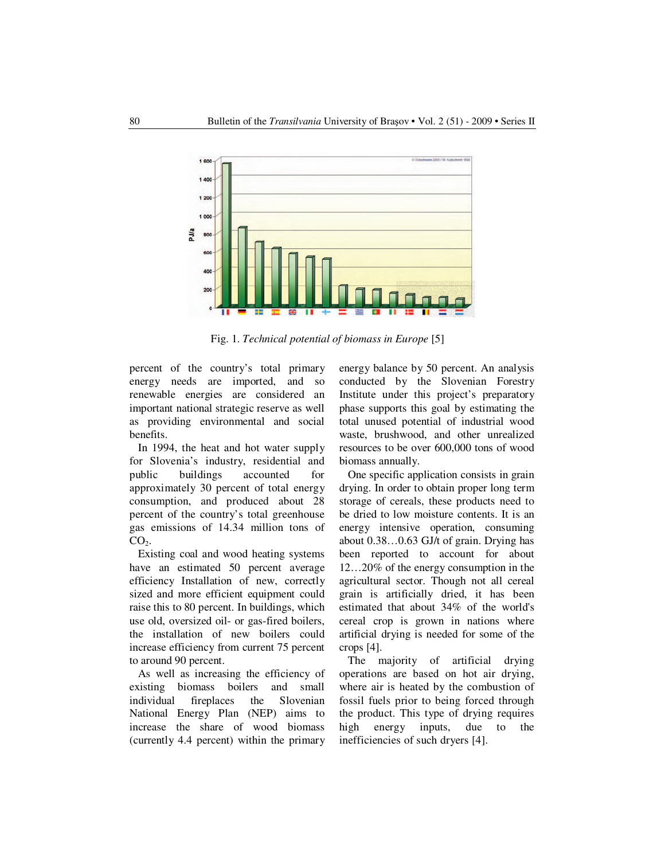

Fig. 1. *Technical potential of biomass in Europe* [5]

percent of the country's total primary energy needs are imported, and so renewable energies are considered an important national strategic reserve as well as providing environmental and social benefits.

In 1994, the heat and hot water supply for Slovenia's industry, residential and public buildings accounted for approximately 30 percent of total energy consumption, and produced about 28 percent of the country's total greenhouse gas emissions of 14.34 million tons of  $CO<sub>2</sub>$ .

Existing coal and wood heating systems have an estimated 50 percent average efficiency Installation of new, correctly sized and more efficient equipment could raise this to 80 percent. In buildings, which use old, oversized oil- or gas-fired boilers, the installation of new boilers could increase efficiency from current 75 percent to around 90 percent.

As well as increasing the efficiency of existing biomass boilers and small individual fireplaces the Slovenian National Energy Plan (NEP) aims to increase the share of wood biomass (currently 4.4 percent) within the primary energy balance by 50 percent. An analysis conducted by the Slovenian Forestry Institute under this project's preparatory phase supports this goal by estimating the total unused potential of industrial wood waste, brushwood, and other unrealized resources to be over 600,000 tons of wood biomass annually.

One specific application consists in grain drying. In order to obtain proper long term storage of cereals, these products need to be dried to low moisture contents. It is an energy intensive operation, consuming about 0.38…0.63 GJ/t of grain. Drying has been reported to account for about 12…20% of the energy consumption in the agricultural sector. Though not all cereal grain is artificially dried, it has been estimated that about 34% of the world's cereal crop is grown in nations where artificial drying is needed for some of the crops [4].

The majority of artificial drying operations are based on hot air drying, where air is heated by the combustion of fossil fuels prior to being forced through the product. This type of drying requires high energy inputs, due to the inefficiencies of such dryers [4].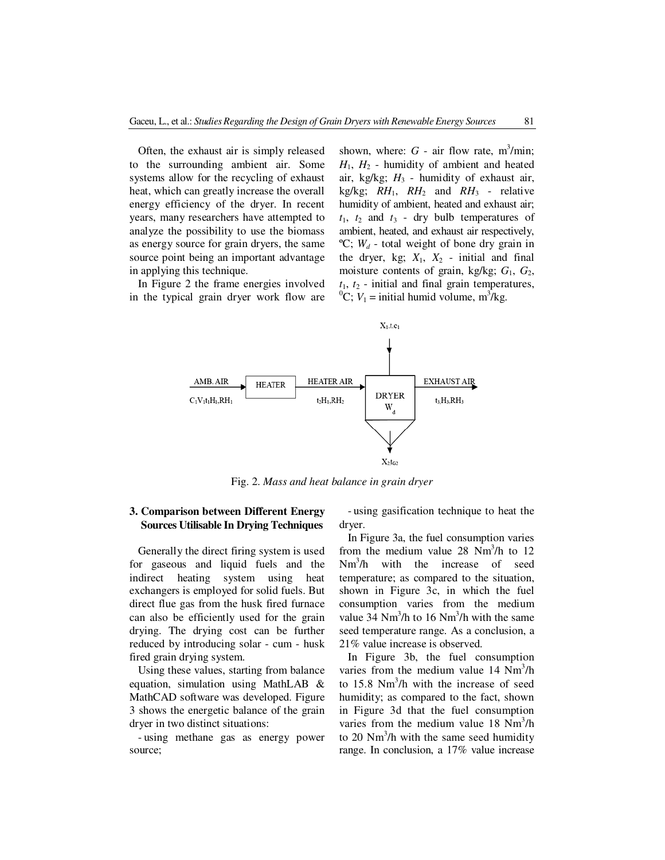Often, the exhaust air is simply released to the surrounding ambient air. Some systems allow for the recycling of exhaust heat, which can greatly increase the overall energy efficiency of the dryer. In recent years, many researchers have attempted to analyze the possibility to use the biomass as energy source for grain dryers, the same source point being an important advantage in applying this technique.

In Figure 2 the frame energies involved in the typical grain dryer work flow are

shown, where:  $G$  - air flow rate,  $m^3/m$ in;  $H_1$ ,  $H_2$  - humidity of ambient and heated air, kg/kg;  $H_3$  - humidity of exhaust air, kg/kg;  $RH_1$ ,  $RH_2$  and  $RH_3$  - relative humidity of ambient, heated and exhaust air;  $t_1$ ,  $t_2$  and  $t_3$  - dry bulb temperatures of ambient, heated, and exhaust air respectively,  ${}^{\circ}C$ ;  $W_d$  - total weight of bone dry grain in the dryer, kg;  $X_1$ ,  $X_2$  - initial and final moisture contents of grain, kg/kg; *G*1, *G*2,  $t_1$ ,  $t_2$  - initial and final grain temperatures, <sup>0</sup>C;  $V_1$  = initial humid volume, m<sup>3</sup>/kg.



Fig. 2. *Mass and heat balance in grain dryer*

#### **3. Comparison between Different Energy Sources Utilisable In Drying Techniques**

Generally the direct firing system is used for gaseous and liquid fuels and the indirect heating system using heat exchangers is employed for solid fuels. But direct flue gas from the husk fired furnace can also be efficiently used for the grain drying. The drying cost can be further reduced by introducing solar - cum - husk fired grain drying system.

Using these values, starting from balance equation, simulation using MathLAB & MathCAD software was developed. Figure 3 shows the energetic balance of the grain dryer in two distinct situations:

- using methane gas as energy power source;

- using gasification technique to heat the dryer.

In Figure 3a, the fuel consumption varies from the medium value 28  $Nm^3/h$  to 12 Nm<sup>3</sup>/h with the increase of seed temperature; as compared to the situation, shown in Figure 3c, in which the fuel consumption varies from the medium value 34  $Nm^3/h$  to 16  $Nm^3/h$  with the same seed temperature range. As a conclusion, a 21% value increase is observed.

In Figure 3b, the fuel consumption varies from the medium value  $14 \text{ Nm}^3/\text{h}$ to  $15.8 \text{ Nm}^3/\text{h}$  with the increase of seed humidity; as compared to the fact, shown in Figure 3d that the fuel consumption varies from the medium value  $18 \text{ Nm}^3/\text{h}$ to 20  $Nm^3/h$  with the same seed humidity range. In conclusion, a 17% value increase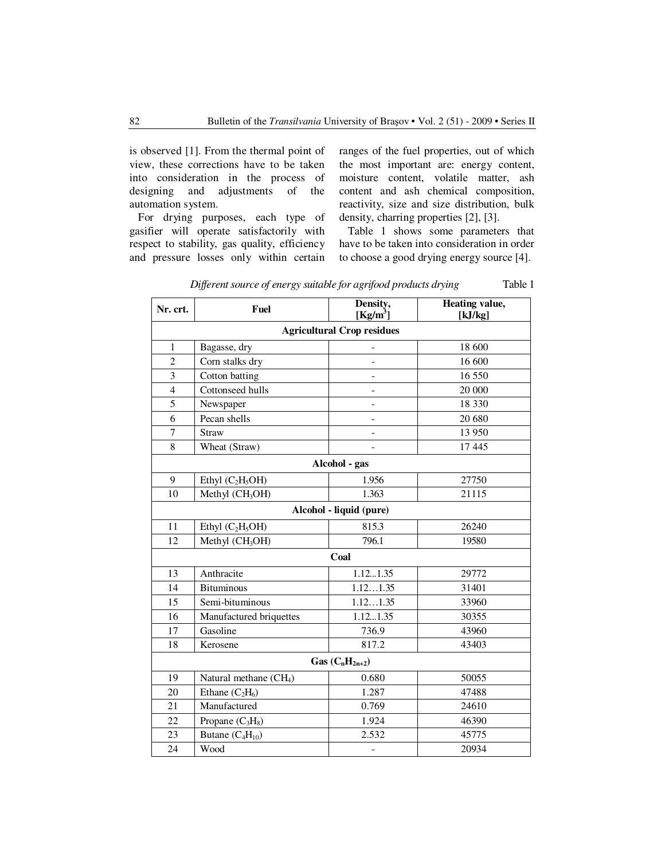is observed [1]. From the thermal point of view, these corrections have to be taken into consideration in the process of designing and adjustments of the automation system.

For drying purposes, each type of gasifier will operate satisfactorily with respect to stability, gas quality, efficiency and pressure losses only within certain ranges of the fuel properties, out of which the most important are: energy content, moisture content, volatile matter, ash content and ash chemical composition, reactivity, size and size distribution, bulk density, charring properties [2], [3].

Table 1 shows some parameters that have to be taken into consideration in order to choose a good drying energy source [4].

| Nr. crt.                          | Fuel                               | Density,<br>$[Kg/m^3]$ | <b>Heating value,</b><br>[kJ/kg] |
|-----------------------------------|------------------------------------|------------------------|----------------------------------|
| <b>Agricultural Crop residues</b> |                                    |                        |                                  |
| $\mathbf{1}$                      | Bagasse, dry                       |                        | 18 600                           |
| $\overline{2}$                    | Corn stalks dry                    |                        | 16 600                           |
| $\overline{\mathbf{3}}$           | Cotton batting                     |                        | 16 550                           |
| $\overline{4}$                    | Cottonseed hulls                   | $\overline{a}$         | 20 000                           |
| 5                                 | Newspaper                          |                        | 18 330                           |
| 6                                 | Pecan shells                       | $\overline{a}$         | 20 680                           |
| 7                                 | Straw                              | $\overline{a}$         | 13 950                           |
| 8                                 | Wheat (Straw)                      |                        | 17 4 45                          |
| Alcohol - gas                     |                                    |                        |                                  |
| 9                                 | Ethyl $(C_2H_5OH)$                 | 1.956                  | 27750                            |
| 10                                | Methyl (CH <sub>3</sub> OH)        | 1.363                  | 21115                            |
| Alcohol - liquid (pure)           |                                    |                        |                                  |
| 11                                | Ethyl $(C_2H_5OH)$                 | 815.3                  | 26240                            |
| 12                                | Methyl (CH <sub>3</sub> OH)        | 796.1                  | 19580                            |
| Coal                              |                                    |                        |                                  |
| 13                                | Anthracite                         | 1.121.35               | 29772                            |
| 14                                | <b>Bituminous</b>                  | 1.121.35               | 31401                            |
| 15                                | Semi-bituminous                    | $\overline{1.121.35}$  | 33960                            |
| 16                                | Manufactured briquettes            | 1.121.35               | 30355                            |
| 17                                | Gasoline                           | 736.9                  | 43960                            |
| 18                                | Kerosene                           | 817.2                  | 43403                            |
| Gas $(C_nH_{2n+2})$               |                                    |                        |                                  |
| 19                                | Natural methane (CH <sub>4</sub> ) | 0.680                  | 50055                            |
| 20                                | Ethane $(C_2H_6)$                  | 1.287                  | 47488                            |
| 21                                | Manufactured                       | 0.769                  | 24610                            |
| 22                                | Propane $(C_3H_8)$                 | 1.924                  | 46390                            |
| 23                                | Butane $(C_4H_{10})$               | 2.532                  | 45775                            |
| 24                                | Wood                               | -                      | 20934                            |

*Different source of energy suitable for agrifood products drying* Table 1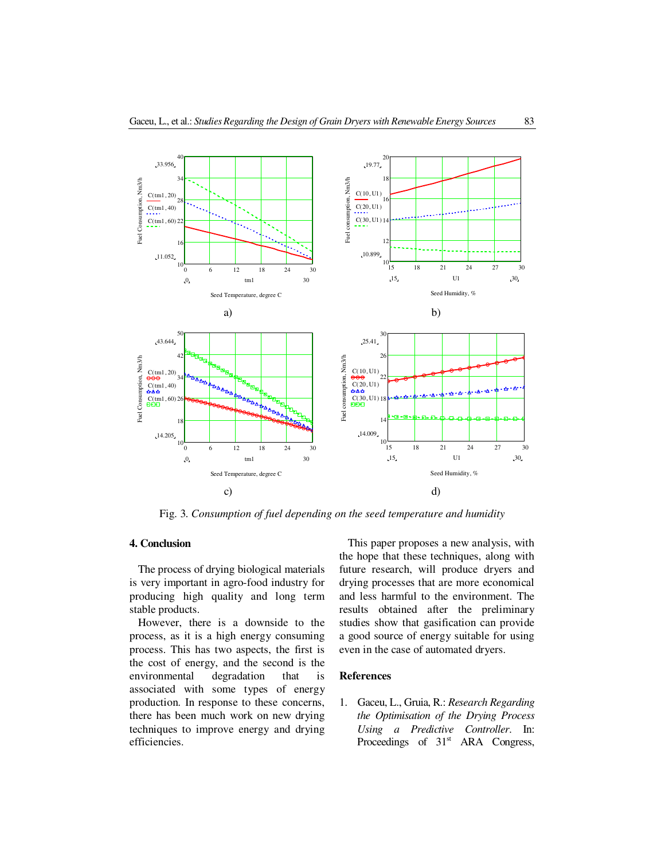

Fig. 3. *Consumption of fuel depending on the seed temperature and humidity* 

# **4. Conclusion**

The process of drying biological materials is very important in agro-food industry for producing high quality and long term stable products.

However, there is a downside to the process, as it is a high energy consuming process. This has two aspects, the first is the cost of energy, and the second is the environmental degradation that is associated with some types of energy production. In response to these concerns, there has been much work on new drying techniques to improve energy and drying efficiencies.

This paper proposes a new analysis, with the hope that these techniques, along with future research, will produce dryers and drying processes that are more economical and less harmful to the environment. The results obtained after the preliminary studies show that gasification can provide a good source of energy suitable for using even in the case of automated dryers.

#### **References**

1. Gaceu, L., Gruia, R.: *Research Regarding the Optimisation of the Drying Process Using a Predictive Controller*. In: Proceedings of 31<sup>st</sup> ARA Congress,